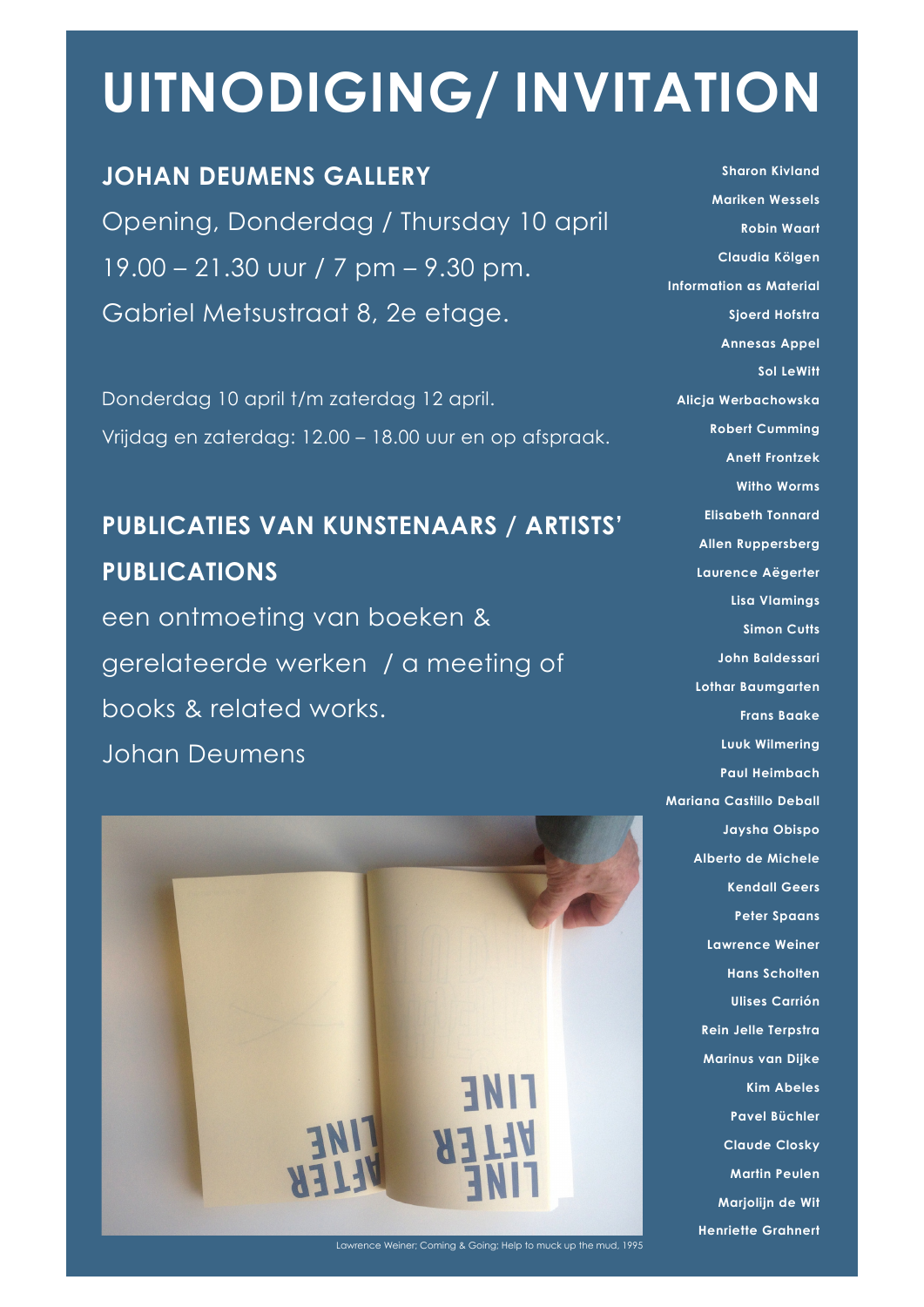# **UITNODIGING/ INVITATION**

### **JOHAN DEUMENS GALLERY**

Opening, Donderdag / Thursday 10 april 19.00 – 21.30 uur / 7 pm – 9.30 pm. Gabriel Metsustraat 8, 2e etage.

Donderdag 10 april t/m zaterdag 12 april. Vrijdag en zaterdag: 12.00 – 18.00 uur en op afspraak.

### **PUBLICATIES VAN KUNSTENAARS / ARTISTS' PUBLICATIONS**

een ontmoeting van boeken & gerelateerde werken / a meeting of books & related works. Johan Deumens



**Mariken Wessels Robin Waart Claudia Kölgen Information as Material Sjoerd Hofstra Annesas Appel Sol LeWitt Alicja Werbachowska Robert Cumming Anett Frontzek Witho Worms Elisabeth Tonnard Allen Ruppersberg Laurence Aëgerter Lisa Vlamings Simon Cutts John Baldessari Lothar Baumgarten Frans Baake Luuk Wilmering Paul Heimbach Mariana Castillo Deball Jaysha Obispo Alberto de Michele Kendall Geers Peter Spaans Lawrence Weiner Hans Scholten Ulises Carrión Rein Jelle Terpstra Marinus van Dijke Kim Abeles Pavel Büchler Claude Closky Martin Peulen Marjolijn de Wit Henriette Grahnert**

**Sharon Kivland**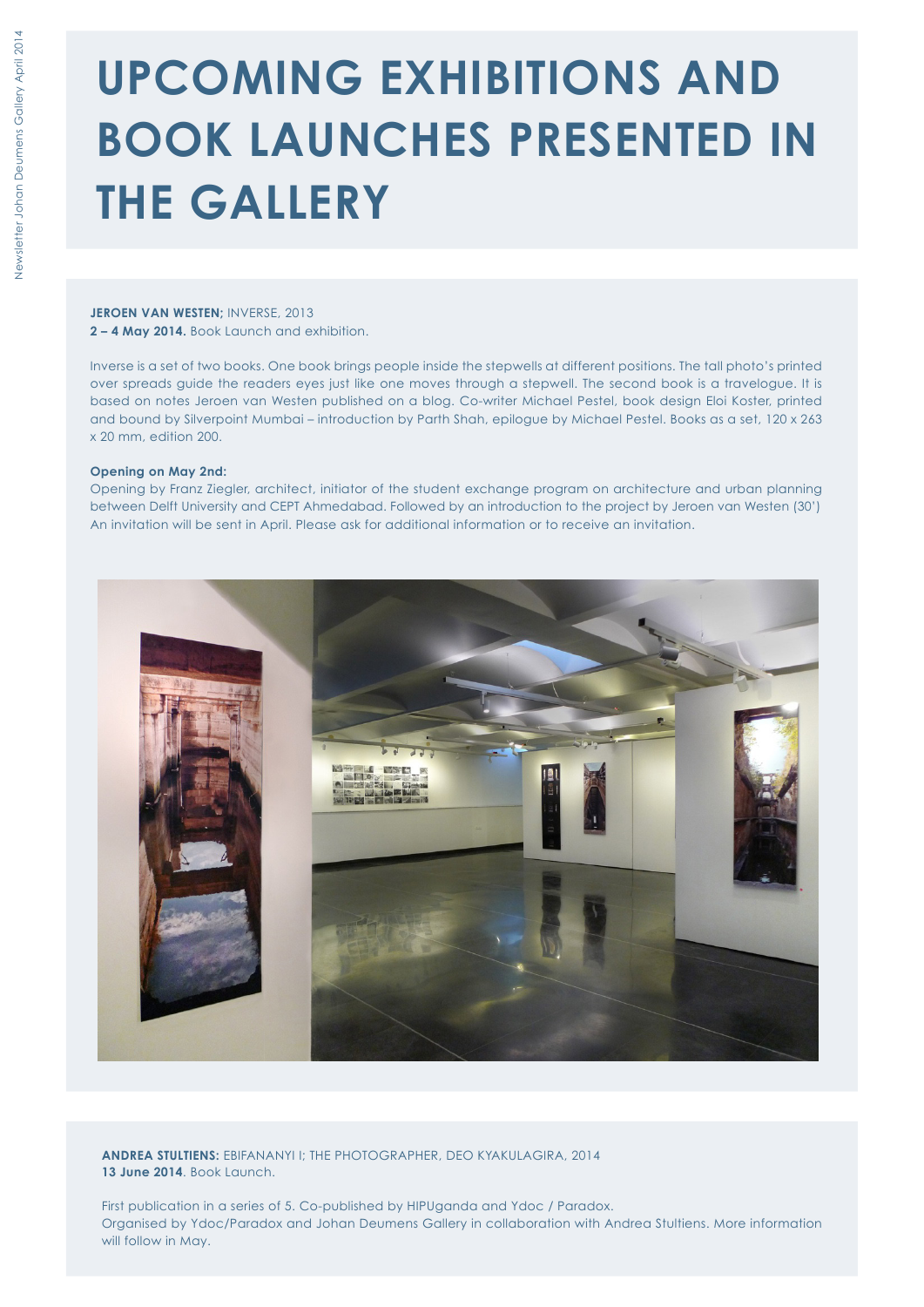### **UPCOMING EXHIBITIONS AND BOOK LAUNCHES PRESENTED IN THE GALLERY**

**JEROEN VAN WESTEN;** INVERSE, 2013 **2 – 4 May 2014.** Book Launch and exhibition.

Inverse is a set of two books. One book brings people inside the stepwells at different positions. The tall photo's printed over spreads guide the readers eyes just like one moves through a stepwell. The second book is a travelogue. It is based on notes Jeroen van Westen published on a blog. Co-writer Michael Pestel, book design Eloi Koster, printed and bound by Silverpoint Mumbai – introduction by Parth Shah, epilogue by Michael Pestel. Books as a set, 120 x 263 x 20 mm, edition 200.

#### **Opening on May 2nd:**

Opening by Franz Ziegler, architect, initiator of the student exchange program on architecture and urban planning between Delft University and CEPT Ahmedabad. Followed by an introduction to the project by Jeroen van Westen (30') An invitation will be sent in April. Please ask for additional information or to receive an invitation.



**ANDREA STULTIENS:** EBIFANANYI I; THE PHOTOGRAPHER, DEO KYAKULAGIRA, 2014 **13 June 2014**. Book Launch.

First publication in a series of 5. Co-published by HIPUganda and Ydoc / Paradox. Organised by Ydoc/Paradox and Johan Deumens Gallery in collaboration with Andrea Stultiens. More information will follow in May.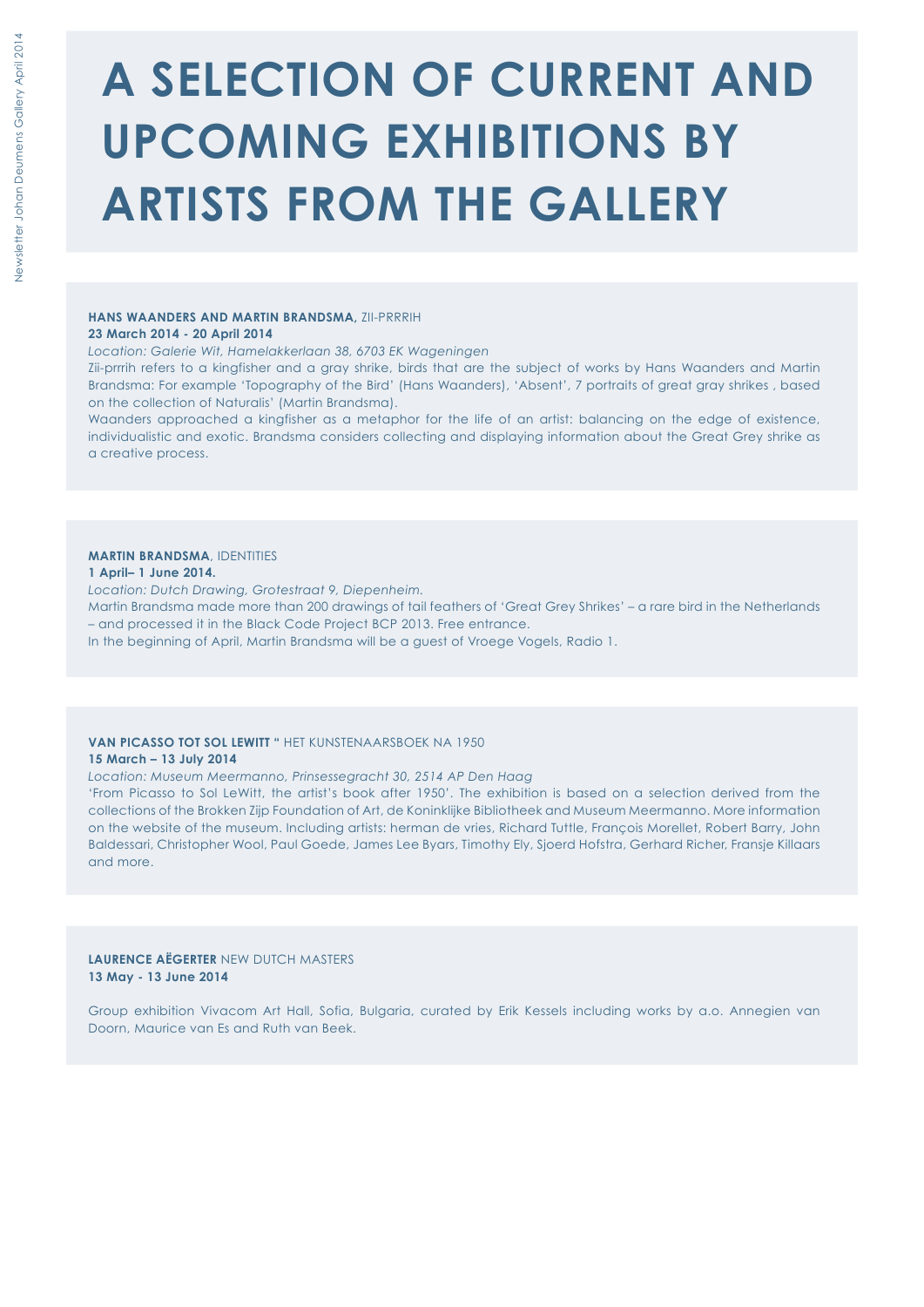### **A SELECTION OF CURRENT AND UPCOMING EXHIBITIONS BY ARTISTS FROM THE GALLERY**

#### **HANS WAANDERS AND MARTIN BRANDSMA,** ZII-PRRRIH

#### **23 March 2014 - 20 April 2014**

*Location: Galerie Wit, Hamelakkerlaan 38, 6703 EK Wageningen* 

Zii-prrrih refers to a kingfisher and a gray shrike, birds that are the subject of works by Hans Waanders and Martin Brandsma: For example 'Topography of the Bird' (Hans Waanders), 'Absent', 7 portraits of great gray shrikes , based on the collection of Naturalis' (Martin Brandsma).

Waanders approached a kingfisher as a metaphor for the life of an artist: balancing on the edge of existence, individualistic and exotic. Brandsma considers collecting and displaying information about the Great Grey shrike as a creative process.

#### **MARTIN BRANDSMA**, IDENTITIES

#### **1 April– 1 June 2014.**

*Location: Dutch Drawing, Grotestraat 9, Diepenheim.*  Martin Brandsma made more than 200 drawings of tail feathers of 'Great Grey Shrikes' – a rare bird in the Netherlands – and processed it in the Black Code Project BCP 2013. Free entrance. In the beginning of April, Martin Brandsma will be a guest of Vroege Vogels, Radio 1.

#### **VAN PICASSO TOT SOL LEWITT "** HET KUNSTENAARSBOEK NA 1950 **15 March – 13 July 2014**

*Location: Museum Meermanno, Prinsessegracht 30, 2514 AP Den Haag* 

'From Picasso to Sol LeWitt, the artist's book after 1950'. The exhibition is based on a selection derived from the collections of the Brokken Zijp Foundation of Art, de Koninklijke Bibliotheek and Museum Meermanno. More information on the website of the museum. Including artists: herman de vries, Richard Tuttle, François Morellet, Robert Barry, John Baldessari, Christopher Wool, Paul Goede, James Lee Byars, Timothy Ely, Sjoerd Hofstra, Gerhard Richer, Fransje Killaars and more.

#### **LAURENCE AËGERTER** NEW DUTCH MASTERS **13 May - 13 June 2014**

Group exhibition Vivacom Art Hall, Sofia, Bulgaria, curated by Erik Kessels including works by a.o. Annegien van Doorn, Maurice van Es and Ruth van Beek.